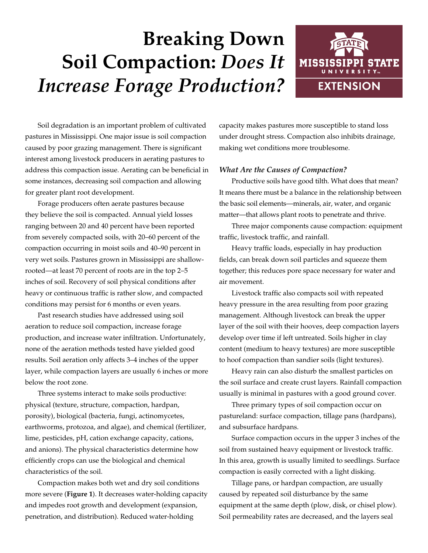# **Breaking Down Soil Compaction:** *Does It Increase Forage Production?*



Soil degradation is an important problem of cultivated pastures in Mississippi. One major issue is soil compaction caused by poor grazing management. There is significant interest among livestock producers in aerating pastures to address this compaction issue. Aerating can be beneficial in some instances, decreasing soil compaction and allowing for greater plant root development.

Forage producers often aerate pastures because they believe the soil is compacted. Annual yield losses ranging between 20 and 40 percent have been reported from severely compacted soils, with 20–60 percent of the compaction occurring in moist soils and 40–90 percent in very wet soils. Pastures grown in Mississippi are shallowrooted—at least 70 percent of roots are in the top 2–5 inches of soil. Recovery of soil physical conditions after heavy or continuous traffic is rather slow, and compacted conditions may persist for 6 months or even years.

Past research studies have addressed using soil aeration to reduce soil compaction, increase forage production, and increase water infiltration. Unfortunately, none of the aeration methods tested have yielded good results. Soil aeration only affects 3–4 inches of the upper layer, while compaction layers are usually 6 inches or more below the root zone.

Three systems interact to make soils productive: physical (texture, structure, compaction, hardpan, porosity), biological (bacteria, fungi, actinomycetes, earthworms, protozoa, and algae), and chemical (fertilizer, lime, pesticides, pH, cation exchange capacity, cations, and anions). The physical characteristics determine how efficiently crops can use the biological and chemical characteristics of the soil.

Compaction makes both wet and dry soil conditions more severe (**Figure 1**). It decreases water-holding capacity and impedes root growth and development (expansion, penetration, and distribution). Reduced water-holding

capacity makes pastures more susceptible to stand loss under drought stress. Compaction also inhibits drainage, making wet conditions more troublesome.

# *What Are the Causes of Compaction?*

Productive soils have good tilth. What does that mean? It means there must be a balance in the relationship between the basic soil elements—minerals, air, water, and organic matter—that allows plant roots to penetrate and thrive.

Three major components cause compaction: equipment traffic, livestock traffic, and rainfall.

Heavy traffic loads, especially in hay production fields, can break down soil particles and squeeze them together; this reduces pore space necessary for water and air movement.

Livestock traffic also compacts soil with repeated heavy pressure in the area resulting from poor grazing management. Although livestock can break the upper layer of the soil with their hooves, deep compaction layers develop over time if left untreated. Soils higher in clay content (medium to heavy textures) are more susceptible to hoof compaction than sandier soils (light textures).

Heavy rain can also disturb the smallest particles on the soil surface and create crust layers. Rainfall compaction usually is minimal in pastures with a good ground cover.

Three primary types of soil compaction occur on pastureland: surface compaction, tillage pans (hardpans), and subsurface hardpans.

Surface compaction occurs in the upper 3 inches of the soil from sustained heavy equipment or livestock traffic. In this area, growth is usually limited to seedlings. Surface compaction is easily corrected with a light disking.

Tillage pans, or hardpan compaction, are usually caused by repeated soil disturbance by the same equipment at the same depth (plow, disk, or chisel plow). Soil permeability rates are decreased, and the layers seal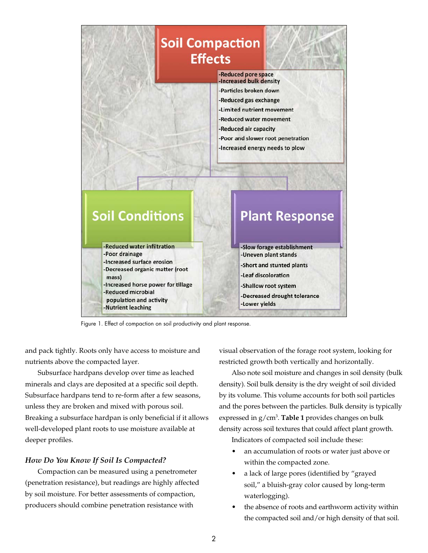

Figure 1. Effect of compaction on soil productivity and plant response.

and pack tightly. Roots only have access to moisture and nutrients above the compacted layer.

Subsurface hardpans develop over time as leached minerals and clays are deposited at a specific soil depth. Subsurface hardpans tend to re-form after a few seasons, unless they are broken and mixed with porous soil. Breaking a subsurface hardpan is only beneficial if it allows well-developed plant roots to use moisture available at deeper profiles.

### *How Do You Know If Soil Is Compacted?*

Compaction can be measured using a penetrometer (penetration resistance), but readings are highly affected by soil moisture. For better assessments of compaction, producers should combine penetration resistance with

visual observation of the forage root system, looking for restricted growth both vertically and horizontally.

Also note soil moisture and changes in soil density (bulk density). Soil bulk density is the dry weight of soil divided by its volume. This volume accounts for both soil particles and the pores between the particles. Bulk density is typically expressed in g/cm<sup>3</sup>. Table 1 provides changes on bulk density across soil textures that could affect plant growth.

Indicators of compacted soil include these:

- an accumulation of roots or water just above or within the compacted zone.
- a lack of large pores (identified by "grayed soil," a bluish-gray color caused by long-term waterlogging).
- the absence of roots and earthworm activity within the compacted soil and/or high density of that soil.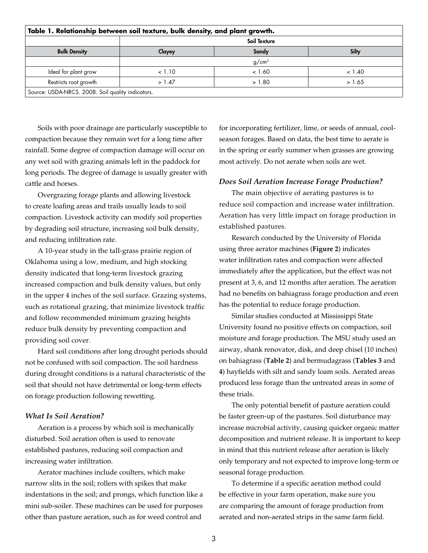| Table 1. Relationship between soil texture, bulk density, and plant growth. |              |                   |        |  |  |  |
|-----------------------------------------------------------------------------|--------------|-------------------|--------|--|--|--|
|                                                                             | Soil Texture |                   |        |  |  |  |
| <b>Bulk Density</b>                                                         | Clayey       | Sandy             | Silty  |  |  |  |
|                                                                             |              | q/cm <sup>3</sup> |        |  |  |  |
| Ideal for plant grow                                                        | < 1.10       | < 1.60            | < 1.40 |  |  |  |
| Restricts root growth                                                       | >1.47        | > 1.80            | > 1.65 |  |  |  |
| Source: USDA-NRCS. 2008. Soil quality indicators.                           |              |                   |        |  |  |  |

Soils with poor drainage are particularly susceptible to compaction because they remain wet for a long time after rainfall. Some degree of compaction damage will occur on any wet soil with grazing animals left in the paddock for long periods. The degree of damage is usually greater with cattle and horses.

Overgrazing forage plants and allowing livestock to create loafing areas and trails usually leads to soil compaction. Livestock activity can modify soil properties by degrading soil structure, increasing soil bulk density, and reducing infiltration rate.

A 10-year study in the tall-grass prairie region of Oklahoma using a low, medium, and high stocking density indicated that long-term livestock grazing increased compaction and bulk density values, but only in the upper 4 inches of the soil surface. Grazing systems, such as rotational grazing, that minimize livestock traffic and follow recommended minimum grazing heights reduce bulk density by preventing compaction and providing soil cover.

Hard soil conditions after long drought periods should not be confused with soil compaction. The soil hardness during drought conditions is a natural characteristic of the soil that should not have detrimental or long-term effects on forage production following rewetting.

## *What Is Soil Aeration?*

Aeration is a process by which soil is mechanically disturbed. Soil aeration often is used to renovate established pastures, reducing soil compaction and increasing water infiltration.

Aerator machines include coulters, which make narrow slits in the soil; rollers with spikes that make indentations in the soil; and prongs, which function like a mini sub-soiler. These machines can be used for purposes other than pasture aeration, such as for weed control and

for incorporating fertilizer, lime, or seeds of annual, coolseason forages. Based on data, the best time to aerate is in the spring or early summer when grasses are growing most actively. Do not aerate when soils are wet.

#### *Does Soil Aeration Increase Forage Production?*

The main objective of aerating pastures is to reduce soil compaction and increase water infiltration. Aeration has very little impact on forage production in established pastures.

Research conducted by the University of Florida using three aerator machines (**Figure 2**) indicates water infiltration rates and compaction were affected immediately after the application, but the effect was not present at 3, 6, and 12 months after aeration. The aeration had no benefits on bahiagrass forage production and even has the potential to reduce forage production.

Similar studies conducted at Mississippi State University found no positive effects on compaction, soil moisture and forage production. The MSU study used an airway, shank renovator, disk, and deep chisel (10 inches) on bahiagrass (**Table 2**) and bermudagrass (**Tables 3** and **4**) hayfields with silt and sandy loam soils. Aerated areas produced less forage than the untreated areas in some of these trials.

The only potential benefit of pasture aeration could be faster green-up of the pastures. Soil disturbance may increase microbial activity, causing quicker organic matter decomposition and nutrient release. It is important to keep in mind that this nutrient release after aeration is likely only temporary and not expected to improve long-term or seasonal forage production.

To determine if a specific aeration method could be effective in your farm operation, make sure you are comparing the amount of forage production from aerated and non-aerated strips in the same farm field.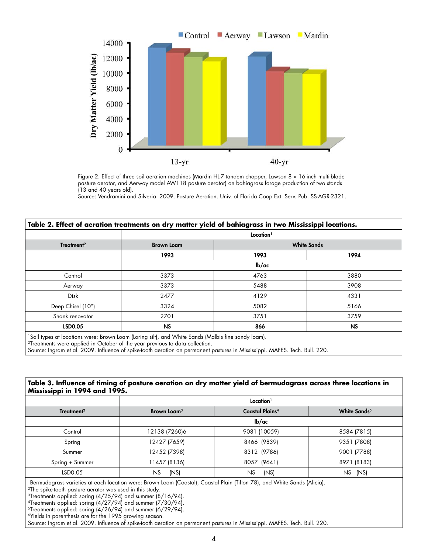

Figure 2. Effect of three soil aeration machines (Mardin HL-7 tandem chopper, Lawson 8 x 16-inch multi-blade pasture aerator, and Aerway model AW118 pasture aerator) on bahiagrass forage production of two stands (13 and 40 years old).

Source: Vendramini and Silveria. 2009. Pasture Aeration. Univ. of Florida Coop Ext. Serv. Pub. SS-AGR-2321.

| Treatment <sup>2</sup> | Location <sup>1</sup>     |                    |           |  |
|------------------------|---------------------------|--------------------|-----------|--|
|                        | <b>Brown Loam</b><br>1993 | <b>White Sands</b> |           |  |
|                        |                           | 1993               | 1994      |  |
|                        | Ib/ac                     |                    |           |  |
| Control                | 3373                      | 4763               | 3880      |  |
| Aerway                 | 3373                      | 5488               | 3908      |  |
| <b>Disk</b>            | 2477                      | 4129               | 4331      |  |
| Deep Chisel (10")      | 3324                      | 5082               | 5166      |  |
| Shank renovator        | 2701                      | 3751               | 3759      |  |
| LSD0.05                | <b>NS</b>                 | 866                | <b>NS</b> |  |

2Treatments were applied in October of the year previous to data collection.

Source: Ingram et al. 2009. Influence of spike-tooth aeration on permanent pastures in Mississippi. MAFES. Tech. Bull. 220.

## **Table 3. Influence of timing of pasture aeration on dry matter yield of bermudagrass across three locations in Mississippi in 1994 and 1995.**

|                        | Location <sup>1</sup>     |                        |                          |  |
|------------------------|---------------------------|------------------------|--------------------------|--|
| Treatment <sup>2</sup> | Brown Loam <sup>3</sup>   | <b>Coastal Plains4</b> | White Sands <sup>5</sup> |  |
|                        | $\mathsf{lb}/\mathsf{ac}$ |                        |                          |  |
| Control                | 12138 (7260)6             | 9081 (10059)           | 8584 (7815)              |  |
| Spring                 | 12427 (7659)              | 8466 (9839)            | 9351 (7808)              |  |
| Summer                 | 12452 (7398)              | 8312 (9786)            | 9001 (7788)              |  |
| Spring + Summer        | 11457 (8136)              | 8057 (9641)            | 8971 (8183)              |  |
| LSD0.05                | <b>NS</b><br>(NS)         | (NS)<br>NS             | NS.<br>(NS)              |  |

1Bermudagrass varieties at each location were: Brown Loam (Coastal), Coastal Plain (Tifton 78), and White Sands (Alicia).

<sup>2</sup>The spike-tooth pasture aerator was used in this study.

3Treatments applied: spring (4/25/94) and summer (8/16/94).

4Treatments applied: spring (4/27/94) and summer (7/30/94).

5Treatments applied: spring (4/26/94) and summer (6/29/94).

6Yields in parenthesis are for the 1995 growing season.

Source: Ingram et al. 2009. Influence of spike-tooth aeration on permanent pastures in Mississippi. MAFES. Tech. Bull. 220.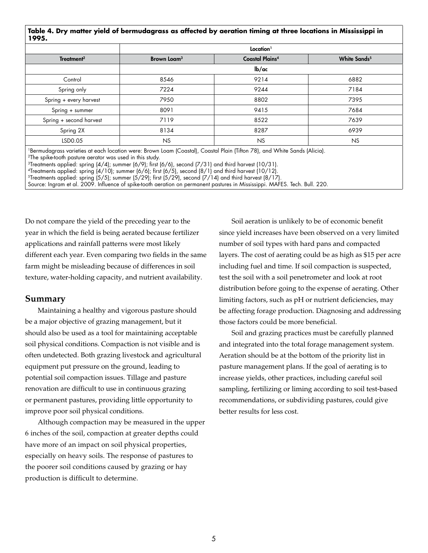# **Table 4. Dry matter yield of bermudagrass as affected by aeration timing at three locations in Mississippi in 1995.**

| Treatment <sup>2</sup>  | Location <sup>1</sup>   |                        |                          |
|-------------------------|-------------------------|------------------------|--------------------------|
|                         | Brown Loam <sup>3</sup> | <b>Coastal Plains4</b> | White Sands <sup>5</sup> |
|                         | lb/ac                   |                        |                          |
| Control                 | 8546                    | 9214                   | 6882                     |
| Spring only             | 7224                    | 9244                   | 7184                     |
| Spring + every harvest  | 7950                    | 8802                   | 7395                     |
| Spring + summer         | 8091                    | 9415                   | 7684                     |
| Spring + second harvest | 7119                    | 8522                   | 7639                     |
| Spring 2X               | 8134                    | 8287                   | 6939                     |
| LSD0.05                 | <b>NS</b>               | NS                     | <b>NS</b>                |

1Bermudagrass varieties at each location were: Brown Loam (Coastal), Coastal Plain (Tifton 78), and White Sands (Alicia). <sup>2</sup>The spike-tooth pasture aerator was used in this study.

 $3$ Treatments applied: spring (4/4); summer (6/9); first (6/6), second (7/31) and third harvest (10/31).

 $4$ Treatments applied: spring  $(4/10)$ ; summer  $(6/6)$ ; first  $(6/5)$ , second  $(8/1)$  and third harvest  $(10/12)$ .

 $^5$ Treatments applied: spring (5/5); summer (5/29); first (5/29), second (7/14) and third harvest (8/17).

Source: Ingram et al. 2009. Influence of spike-tooth aeration on permanent pastures in Mississippi. MAFES. Tech. Bull. 220.

Do not compare the yield of the preceding year to the year in which the field is being aerated because fertilizer applications and rainfall patterns were most likely different each year. Even comparing two fields in the same farm might be misleading because of differences in soil texture, water-holding capacity, and nutrient availability.

# **Summary**

Maintaining a healthy and vigorous pasture should be a major objective of grazing management, but it should also be used as a tool for maintaining acceptable soil physical conditions. Compaction is not visible and is often undetected. Both grazing livestock and agricultural equipment put pressure on the ground, leading to potential soil compaction issues. Tillage and pasture renovation are difficult to use in continuous grazing or permanent pastures, providing little opportunity to improve poor soil physical conditions.

Although compaction may be measured in the upper 6 inches of the soil, compaction at greater depths could have more of an impact on soil physical properties, especially on heavy soils. The response of pastures to the poorer soil conditions caused by grazing or hay production is difficult to determine.

Soil aeration is unlikely to be of economic benefit since yield increases have been observed on a very limited number of soil types with hard pans and compacted layers. The cost of aerating could be as high as \$15 per acre including fuel and time. If soil compaction is suspected, test the soil with a soil penetrometer and look at root distribution before going to the expense of aerating. Other limiting factors, such as pH or nutrient deficiencies, may be affecting forage production. Diagnosing and addressing those factors could be more beneficial.

Soil and grazing practices must be carefully planned and integrated into the total forage management system. Aeration should be at the bottom of the priority list in pasture management plans. If the goal of aerating is to increase yields, other practices, including careful soil sampling, fertilizing or liming according to soil test-based recommendations, or subdividing pastures, could give better results for less cost.